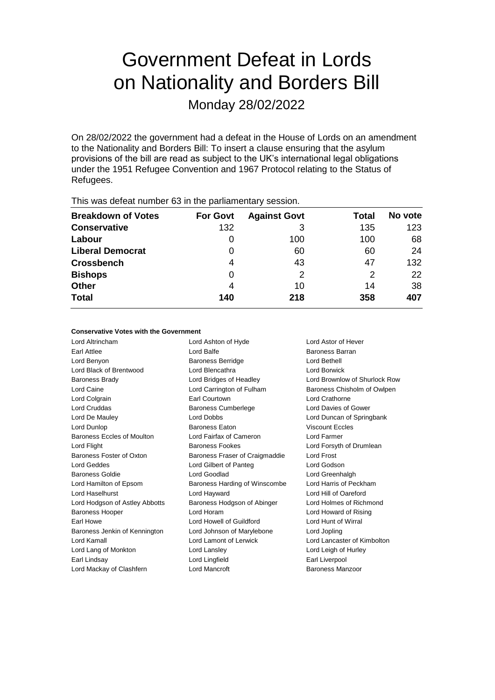# Government Defeat in Lords on Nationality and Borders Bill

Monday 28/02/2022

On 28/02/2022 the government had a defeat in the House of Lords on an amendment to the Nationality and Borders Bill: To insert a clause ensuring that the asylum provisions of the bill are read as subject to the UK's international legal obligations under the 1951 Refugee Convention and 1967 Protocol relating to the Status of Refugees.

| This was abloat harmoor oo in the parliamentary occoloni. |                 |                     |       |         |
|-----------------------------------------------------------|-----------------|---------------------|-------|---------|
| <b>Breakdown of Votes</b>                                 | <b>For Govt</b> | <b>Against Govt</b> | Total | No vote |
| <b>Conservative</b>                                       | 132             |                     | 135   | 123     |
| Labour                                                    | $\Omega$        | 100                 | 100   | 68      |
| <b>Liberal Democrat</b>                                   | 0               | 60                  | 60    | 24      |
| <b>Crossbench</b>                                         | 4               | 43                  | 47    | 132     |
| <b>Bishops</b>                                            | 0               | 2                   | 2     | 22      |
| <b>Other</b>                                              | 4               | 10                  | 14    | 38      |
| <b>Total</b>                                              | 140             | 218                 | 358   | 407     |
|                                                           |                 |                     |       |         |

This was defeat number 63 in the parliamentary session.

# **Conservative Votes with the Government**

Lord Altrincham Lord Ashton of Hyde Lord Astor of Hever Earl Attlee **Lord Balfe Lord Balfe Lord Balfe Baroness Barran** Lord Benyon Baroness Berridge Lord Bethell Lord Black of Brentwood Lord Blencathra Lord Borwick Baroness Brady Lord Bridges of Headley Lord Brownlow of Shurlock Row Lord Caine Lord Carrington of Fulham Baroness Chisholm of Owlpen Lord Colgrain Earl Courtown Lord Crathorne Lord Cruddas Baroness Cumberlege Lord Davies of Gower Lord De Mauley Lord Dobbs Lord Duncan of Springbank Lord Dunlop Baroness Eaton Viscount Eccles Baroness Eccles of Moulton Lord Fairfax of Cameron Lord Farmer Lord Flight Baroness Fookes Lord Forsyth of Drumlean Baroness Foster of Oxton Baroness Fraser of Craigmaddie Lord Frost Lord Geddes Lord Gilbert of Panteg Lord Godson Baroness Goldie Lord Goodlad Lord Greenhalgh Lord Greenhalgh Lord Hamilton of Epsom Baroness Harding of Winscombe Lord Harris of Peckham Lord Haselhurst Lord Hayward Lord Hill of Oareford Lord Hodgson of Astley Abbotts Baroness Hodgson of Abinger Lord Holmes of Richmond Baroness Hooper Lord Horam Lord Howard of Rising Earl Howe Lord Howell of Guildford Lord Hunt of Wirral Baroness Jenkin of Kennington Lord Johnson of Marylebone Lord Jopling Lord Kamall Lord Lamont of Lerwick Lord Lancaster of Kimbolton Lord Lang of Monkton Lord Lansley Lord Leigh of Hurley Earl Lindsay **Lord Lingfield** Earl Liverpool Lord Mackay of Clashfern **Lord Mancroft Baroness Manzoor** Baroness Manzoor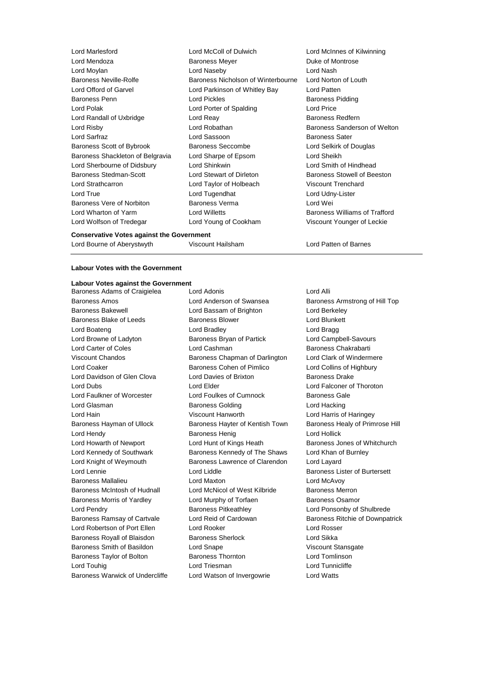| Lord Marlesford                  | Lord McColl of Dulwich             | Lord McInnes of Ki        |
|----------------------------------|------------------------------------|---------------------------|
| Lord Mendoza                     | <b>Baroness Meyer</b>              | Duke of Montrose          |
| Lord Moylan                      | Lord Naseby                        | Lord Nash                 |
| <b>Baroness Neville-Rolfe</b>    | Baroness Nicholson of Winterbourne | Lord Norton of Lou        |
| Lord Offord of Garvel            | Lord Parkinson of Whitley Bay      | Lord Patten               |
| Baroness Penn                    | Lord Pickles                       | Baroness Pidding          |
| Lord Polak                       | Lord Porter of Spalding            | Lord Price                |
| Lord Randall of Uxbridge         | Lord Reay                          | <b>Baroness Redfern</b>   |
| Lord Risby                       | Lord Robathan                      | <b>Baroness Sanders</b>   |
| Lord Sarfraz                     | Lord Sassoon                       | <b>Baroness Sater</b>     |
| Baroness Scott of Bybrook        | <b>Baroness Seccombe</b>           | Lord Selkirk of Dou       |
| Baroness Shackleton of Belgravia | Lord Sharpe of Epsom               | Lord Sheikh               |
| Lord Sherbourne of Didsbury      | Lord Shinkwin                      | Lord Smith of Hind        |
| Baroness Stedman-Scott           | Lord Stewart of Dirleton           | <b>Baroness Stowell o</b> |
| Lord Strathcarron                | Lord Taylor of Holbeach            | Viscount Trenchar         |
| Lord True                        | Lord Tugendhat                     | Lord Udny-Lister          |
| Baroness Vere of Norbiton        | Baroness Verma                     | Lord Wei                  |
| Lord Wharton of Yarm             | Lord Willetts                      | <b>Baroness Williams</b>  |
| Lord Wolfson of Tredegar         | Lord Young of Cookham              | Viscount Younger          |

d McColl of Dulwich **Lord McInnes of Kilwinning** Lord Mendoza Baroness Meyer Duke of Montrose<br>Profile and Management Cord Nash Foness Nicholson of Winterbourne Lord Norton of Louth d Parkinson of Whitley Bay Lord Patten d Pickles **Baroness** Pidding d Porter of Spalding Lord Price Francis Seccombe **Lord Selkirk of Douglas** d Sharpe of Epsom Lord Sheikh d Shinkwin **Example 20** Lord Smith of Hindhead d Stewart of Dirleton Baroness Stowell of Beeston d Taylor of Holbeach Viscount Trenchard d Tugendhat **Lord Udny-Lister** Foress Verma **Communist Baroness Verma** Lord Wei d Willetts **Baroness Williams of Trafford** d Young of Cookham Viscount Younger of Leckie

#### **Conservative Votes against the Government**

Lord Bourne of Aberystwyth Viscount Hailsham Lord Patten of Barnes

## **Labour Votes with the Government**

### **Labour Votes against the Government**

Baroness Amos Lord Anderson of Swansea Baroness Armstrong of Hill Top Baroness Bakewell Lord Bassam of Brighton Lord Berkeley Baroness Blake of Leeds **Baroness Blower** Baroness Blower **Lord Blunkett** Lord Boateng Lord Bradley Lord Bragg Lord Browne of Ladyton **Baroness Bryan of Partick** Lord Campbell-Savours Lord Carter of Coles Lord Cashman Baroness Chakrabarti Viscount Chandos Baroness Chapman of Darlington Lord Clark of Windermere Lord Coaker **Baroness Cohen of Pimlico** Lord Collins of Highbury Lord Davidson of Glen Clova Lord Davies of Brixton Baroness Drake Lord Dubs Lord Elder Lord Falconer of Thoroton Lord Faulkner of Worcester Lord Foulkes of Cumnock Baroness Gale Lord Glasman **Baroness Golding Baroness Golding Lord Hacking** Lord Hain Viscount Hanworth Lord Harris of Haringey Baroness Hayman of Ullock Baroness Hayter of Kentish Town Baroness Healy of Primrose Hill Lord Hendy Baroness Henig Lord Hollick Lord Howarth of Newport Lord Hunt of Kings Heath Baroness Jones of Whitchurch Lord Kennedy of Southwark Baroness Kennedy of The Shaws Lord Khan of Burnley Lord Knight of Weymouth Baroness Lawrence of Clarendon Lord Layard Lord Lennie Lord Liddle Baroness Lister of Burtersett Baroness Mallalieu Lord Maxton Lord McAvoy Baroness McIntosh of Hudnall Lord McNicol of West Kilbride Baroness Merron Baroness Morris of Yardley **Lord Murphy of Torfaen** Baroness Osamor Lord Pendry **Baroness Pitkeathley Baroness Pitkeathley Lord Ponsonby of Shulbrede** Baroness Ramsay of Cartvale **Lord Reid of Cardowan** Baroness Ritchie of Downpatrick Lord Robertson of Port Ellen Lord Rooker Lord Rosser Baroness Royall of Blaisdon Baroness Sherlock Lord Sikka Baroness Smith of Basildon Lord Snape Viscount Stansgate Baroness Taylor of Bolton **Baroness Thornton Baroness Thornton Lord Tomlinson** Lord Touhig **Lord Triesman** Lord Triesman **Lord Tunnicliffe** Baroness Warwick of Undercliffe Lord Watson of Invergowrie Lord Watts

Baroness Adams of Craigielea Lord Adonis Lord Annual Lord Alli

d Robathan **Baroness** Sanderson of Welton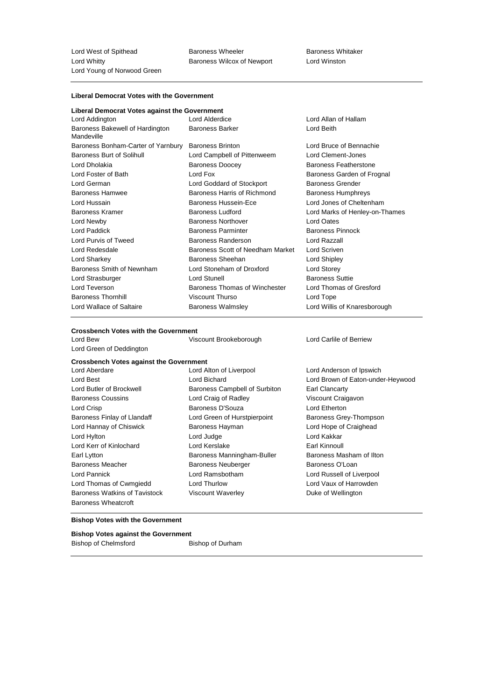Lord West of Spithead **Baroness Wheeler** Baroness Wheeler Baroness Whitaker Lord Whitty Baroness Wilcox of Newport Lord Winston Lord Young of Norwood Green

### **Liberal Democrat Votes with the Government**

| Liberal Democrat Votes against the Government |  |  |  |  |
|-----------------------------------------------|--|--|--|--|
|-----------------------------------------------|--|--|--|--|

| Lord Addington                                | Lord Alderdice                   | Lord Allan of Hallam           |
|-----------------------------------------------|----------------------------------|--------------------------------|
| Baroness Bakewell of Hardington<br>Mandeville | <b>Baroness Barker</b>           | Lord Beith                     |
| Baroness Bonham-Carter of Yarnbury            | <b>Baroness Brinton</b>          | Lord Bruce of Bennachie        |
| <b>Baroness Burt of Solihull</b>              | Lord Campbell of Pittenweem      | Lord Clement-Jones             |
| Lord Dholakia                                 | <b>Baroness Doocey</b>           | <b>Baroness Featherstone</b>   |
| Lord Foster of Bath                           | Lord Fox                         | Baroness Garden of Frognal     |
| Lord German                                   | Lord Goddard of Stockport        | <b>Baroness Grender</b>        |
| <b>Baroness Hamwee</b>                        | Baroness Harris of Richmond      | Baroness Humphreys             |
| Lord Hussain                                  | Baroness Hussein-Ece             | Lord Jones of Cheltenham       |
| <b>Baroness Kramer</b>                        | <b>Baroness Ludford</b>          | Lord Marks of Henley-on-Thames |
| Lord Newby                                    | <b>Baroness Northover</b>        | Lord Oates                     |
| Lord Paddick                                  | <b>Baroness Parminter</b>        | <b>Baroness Pinnock</b>        |
| Lord Purvis of Tweed                          | <b>Baroness Randerson</b>        | Lord Razzall                   |
| Lord Redesdale                                | Baroness Scott of Needham Market | Lord Scriven                   |
| Lord Sharkey                                  | Baroness Sheehan                 | Lord Shipley                   |
| Baroness Smith of Newnham                     | Lord Stoneham of Droxford        | Lord Storey                    |
| Lord Strasburger                              | Lord Stunell                     | <b>Baroness Suttie</b>         |
| Lord Teverson                                 | Baroness Thomas of Winchester    | Lord Thomas of Gresford        |
| <b>Baroness Thornhill</b>                     | <b>Viscount Thurso</b>           | Lord Tope                      |
| Lord Wallace of Saltaire                      | <b>Baroness Walmsley</b>         | Lord Willis of Knaresborough   |

#### **Crossbench Votes with the Government**

Lord Bew Viscount Brookeborough Lord Carlile of Berriew Lord Green of Deddington

**Crossbench Votes against the Government**

Lord Aberdare Lord Alton of Liverpool Lord Anderson of Ipswich Lord Best Lord Bichard Lord Brown of Eaton-under-Heywood Lord Butler of Brockwell **Baroness Campbell of Surbiton** Earl Clancarty Baroness Coussins Lord Craig of Radley Viscount Craigavon Lord Crisp **Baroness D'Souza** Lord Etherton Baroness Finlay of Llandaff Lord Green of Hurstpierpoint Baroness Grey-Thompson Lord Hannay of Chiswick Baroness Hayman Lord Hope of Craighead Lord Hylton Lord Judge Lord Kakkar Lord Kerr of Kinlochard **Lord Kerslake** Lord Kerslake Earl Kinnoull Earl Lytton **Baroness Manningham-Buller** Baroness Masham of Ilton Baroness Meacher **Baroness Neuberger** Baroness O'Loan Lord Pannick Lord Ramsbotham Lord Russell of Liverpool Lord Thomas of Cwmgiedd Lord Thurlow Lord Vaux of Harrowden Baroness Watkins of Tavistock Viscount Waverley Controller Muke of Wellington Baroness Wheatcroft

#### **Bishop Votes with the Government**

# **Bishop Votes against the Government**

Bishop of Chelmsford Bishop of Durham